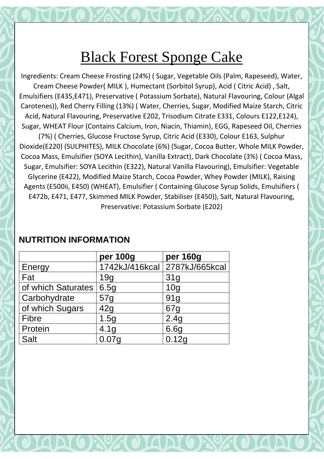Ingredients: Cream Cheese Frosting (24%) ( Sugar, Vegetable Oils (Palm, Rapeseed), Water, Cream Cheese Powder( MILK ), Humectant (Sorbitol Syrup), Acid ( Citric Acid) , Salt, Emulsifiers (E435,E471), Preservative ( Potassium Sorbate), Natural Flavouring, Colour (Algal Carotenes)), Red Cherry Filling (13%) ( Water, Cherries, Sugar, Modified Maize Starch, Citric Acid, Natural Flavouring, Preservative E202, Trisodium Citrate E331, Colours E122,E124), Sugar, WHEAT Flour (Contains Calcium, Iron, Niacin, Thiamin), EGG, Rapeseed Oil, Cherries (7%) ( Cherries, Glucose Fructose Syrup, Citric Acid (E330), Colour E163, Sulphur Dioxide(E220) (SULPHITES), MILK Chocolate (6%) (Sugar, Cocoa Butter, Whole MILK Powder, Cocoa Mass, Emulsifier (SOYA Lecithin), Vanilla Extract), Dark Chocolate (3%) ( Cocoa Mass, Sugar, Emulsifier: SOYA Lecithin (E322), Natural Vanilla Flavouring), Emulsifier: Vegetable Glycerine (E422), Modified Maize Starch, Cocoa Powder, Whey Powder (MILK), Raising Agents (E500ii, E450) (WHEAT), Emulsifier ( Containing Glucose Syrup Solids, Emulsifiers ( E472b, E471, E477, Skimmed MILK Powder, Stabiliser (E450)), Salt, Natural Flavouring, Preservative: Potassium Sorbate (E202)

|                    | per 100g          | per 160g                      |
|--------------------|-------------------|-------------------------------|
| Energy             |                   | 1742kJ/416kcal 2787kJ/665kcal |
| Fat                | 19q               | 31 <sub>q</sub>               |
| of which Saturates | 6.5g              | 10 <sub>q</sub>               |
| Carbohydrate       | 57g               | 91 <sub>q</sub>               |
| of which Sugars    | 42g               | 67g                           |
| <b>Fibre</b>       | 1.5g              | 2.4g                          |
| Protein            | 4.1 <sub>q</sub>  | 6.6g                          |
| <b>Salt</b>        | 0.07 <sub>g</sub> | 0.12g                         |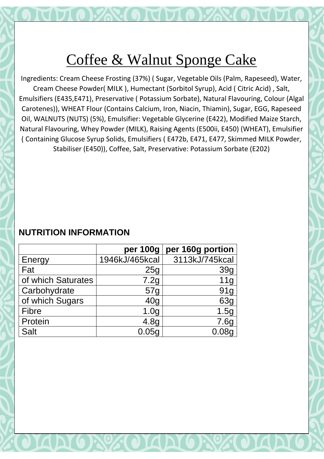# Coffee & Walnut Sponge Cake

Ingredients: Cream Cheese Frosting (37%) ( Sugar, Vegetable Oils (Palm, Rapeseed), Water, Cream Cheese Powder( MILK ), Humectant (Sorbitol Syrup), Acid ( Citric Acid) , Salt, Emulsifiers (E435,E471), Preservative ( Potassium Sorbate), Natural Flavouring, Colour (Algal Carotenes)), WHEAT Flour (Contains Calcium, Iron, Niacin, Thiamin), Sugar, EGG, Rapeseed Oil, WALNUTS (NUTS) (5%), Emulsifier: Vegetable Glycerine (E422), Modified Maize Starch, Natural Flavouring, Whey Powder (MILK), Raising Agents (E500ii, E450) (WHEAT), Emulsifier ( Containing Glucose Syrup Solids, Emulsifiers ( E472b, E471, E477, Skimmed MILK Powder, Stabiliser (E450)), Coffee, Salt, Preservative: Potassium Sorbate (E202)

|                    | per 100g         | per 160g portion  |
|--------------------|------------------|-------------------|
| Energy             | 1946kJ/465kcal   | 3113kJ/745kcal    |
| Fat                | 25 <sub>q</sub>  | 39g               |
| of which Saturates | 7.2g             | 11g               |
| Carbohydrate       | 57g              | 91g               |
| of which Sugars    | 40 <sub>q</sub>  | 63g               |
| <b>Fibre</b>       | 1.0 <sub>g</sub> | 1.5g              |
| Protein            | 4.8 <sub>g</sub> | 7.6g              |
| <b>Salt</b>        | 0.05q            | 0.08 <sub>q</sub> |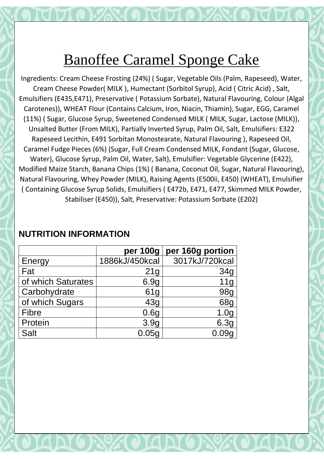## Banoffee Caramel Sponge Cake

Ingredients: Cream Cheese Frosting (24%) ( Sugar, Vegetable Oils (Palm, Rapeseed), Water, Cream Cheese Powder( MILK ), Humectant (Sorbitol Syrup), Acid ( Citric Acid) , Salt, Emulsifiers (E435,E471), Preservative ( Potassium Sorbate), Natural Flavouring, Colour (Algal Carotenes)), WHEAT Flour (Contains Calcium, Iron, Niacin, Thiamin), Sugar, EGG, Caramel (11%) ( Sugar, Glucose Syrup, Sweetened Condensed MILK ( MILK, Sugar, Lactose (MILK)), Unsalted Butter (From MILK), Partially Inverted Syrup, Palm Oil, Salt, Emulsifiers: E322 Rapeseed Lecithin, E491 Sorbitan Monostearate, Natural Flavouring ), Rapeseed Oil, Caramel Fudge Pieces (6%) (Sugar, Full Cream Condensed MILK, Fondant (Sugar, Glucose, Water), Glucose Syrup, Palm Oil, Water, Salt), Emulsifier: Vegetable Glycerine (E422), Modified Maize Starch, Banana Chips (1%) ( Banana, Coconut Oil, Sugar, Natural Flavouring), Natural Flavouring, Whey Powder (MILK), Raising Agents (E500ii, E450) (WHEAT), Emulsifier ( Containing Glucose Syrup Solids, Emulsifiers ( E472b, E471, E477, Skimmed MILK Powder, Stabiliser (E450)), Salt, Preservative: Potassium Sorbate (E202)

|                    | per 100g         | per 160g portion |
|--------------------|------------------|------------------|
| Energy             | 1886kJ/450kcal   | 3017kJ/720kcal   |
| Fat                | 21g              | 34g              |
| of which Saturates | 6.9g             | 11 <sub>g</sub>  |
| Carbohydrate       | 61 <sub>q</sub>  | 98g              |
| of which Sugars    | 43g              | 68g              |
| <b>Fibre</b>       | 0.6g             | 1.0 <sub>g</sub> |
| Protein            | 3.9 <sub>g</sub> | 6.3g             |
| <b>Salt</b>        | 0.05g            |                  |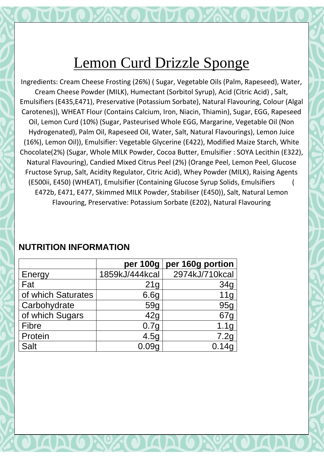Ingredients: Cream Cheese Frosting (26%) ( Sugar, Vegetable Oils (Palm, Rapeseed), Water, Cream Cheese Powder (MILK), Humectant (Sorbitol Syrup), Acid (Citric Acid) , Salt, Emulsifiers (E435,E471), Preservative (Potassium Sorbate), Natural Flavouring, Colour (Algal Carotenes)), WHEAT Flour (Contains Calcium, Iron, Niacin, Thiamin), Sugar, EGG, Rapeseed Oil, Lemon Curd (10%) (Sugar, Pasteurised Whole EGG, Margarine, Vegetable Oil (Non Hydrogenated), Palm Oil, Rapeseed Oil, Water, Salt, Natural Flavourings), Lemon Juice (16%), Lemon Oil)), Emulsifier: Vegetable Glycerine (E422), Modified Maize Starch, White Chocolate(2%) (Sugar, Whole MILK Powder, Cocoa Butter, Emulsifier : SOYA Lecithin (E322), Natural Flavouring), Candied Mixed Citrus Peel (2%) (Orange Peel, Lemon Peel, Glucose Fructose Syrup, Salt, Acidity Regulator, Citric Acid), Whey Powder (MILK), Raising Agents (E500ii, E450) (WHEAT), Emulsifier (Containing Glucose Syrup Solids, Emulsifiers ( E472b, E471, E477, Skimmed MILK Powder, Stabiliser (E450)), Salt, Natural Lemon Flavouring, Preservative: Potassium Sorbate (E202), Natural Flavouring

|                    | per 100g        | per 160g portion |
|--------------------|-----------------|------------------|
| Energy             | 1859kJ/444kcal  | 2974kJ/710kcal   |
| Fat                | 21 <sub>g</sub> | 34g              |
| of which Saturates | 6.6g            | 11g              |
| Carbohydrate       | 59g             | 95g              |
| of which Sugars    | 42 <sub>q</sub> | 67g              |
| <b>Fibre</b>       | 0.7g            | 1.1 <sub>g</sub> |
| Protein            | 4.5g            | 7.2g             |
| Salt               | 0.09q           | 0.14g            |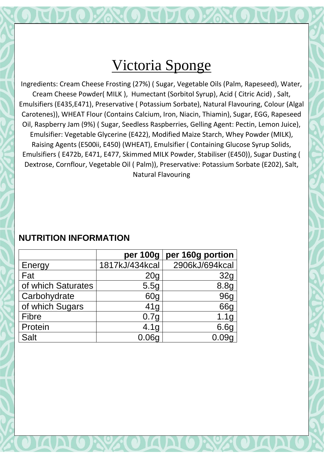## Victoria Sponge

Ingredients: Cream Cheese Frosting (27%) ( Sugar, Vegetable Oils (Palm, Rapeseed), Water, Cream Cheese Powder( MILK ), Humectant (Sorbitol Syrup), Acid ( Citric Acid) , Salt, Emulsifiers (E435,E471), Preservative ( Potassium Sorbate), Natural Flavouring, Colour (Algal Carotenes)), WHEAT Flour (Contains Calcium, Iron, Niacin, Thiamin), Sugar, EGG, Rapeseed Oil, Raspberry Jam (9%) ( Sugar, Seedless Raspberries, Gelling Agent: Pectin, Lemon Juice), Emulsifier: Vegetable Glycerine (E422), Modified Maize Starch, Whey Powder (MILK), Raising Agents (E500ii, E450) (WHEAT), Emulsifier ( Containing Glucose Syrup Solids, Emulsifiers ( E472b, E471, E477, Skimmed MILK Powder, Stabiliser (E450)), Sugar Dusting ( Dextrose, Cornflour, Vegetable Oil ( Palm)), Preservative: Potassium Sorbate (E202), Salt, Natural Flavouring

|                    | per 100g         | per 160g portion |
|--------------------|------------------|------------------|
| Energy             | 1817kJ/434kcal   | 2906kJ/694kcal   |
| Fat                | 20 <sub>g</sub>  | 32g              |
| of which Saturates | 5.5g             | 8.8g             |
| Carbohydrate       | 60g              | 96g              |
| of which Sugars    | 41g              | 66g              |
| <b>Fibre</b>       | 0.7 <sub>q</sub> | 1.1 <sub>g</sub> |
| Protein            | 4.1 <sub>g</sub> | 6.6g             |
| <b>Salt</b>        | 0.06q            | 0.09a            |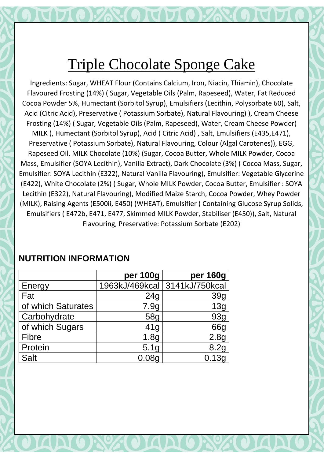# Triple Chocolate Sponge Cake

Ingredients: Sugar, WHEAT Flour (Contains Calcium, Iron, Niacin, Thiamin), Chocolate Flavoured Frosting (14%) ( Sugar, Vegetable Oils (Palm, Rapeseed), Water, Fat Reduced Cocoa Powder 5%, Humectant (Sorbitol Syrup), Emulsifiers (Lecithin, Polysorbate 60), Salt, Acid (Citric Acid), Preservative ( Potassium Sorbate), Natural Flavouring) ), Cream Cheese Frosting (14%) ( Sugar, Vegetable Oils (Palm, Rapeseed), Water, Cream Cheese Powder( MILK ), Humectant (Sorbitol Syrup), Acid ( Citric Acid) , Salt, Emulsifiers (E435,E471), Preservative ( Potassium Sorbate), Natural Flavouring, Colour (Algal Carotenes)), EGG, Rapeseed Oil, MILK Chocolate (10%) (Sugar, Cocoa Butter, Whole MILK Powder, Cocoa Mass, Emulsifier (SOYA Lecithin), Vanilla Extract), Dark Chocolate (3%) ( Cocoa Mass, Sugar, Emulsifier: SOYA Lecithin (E322), Natural Vanilla Flavouring), Emulsifier: Vegetable Glycerine (E422), White Chocolate (2%) ( Sugar, Whole MILK Powder, Cocoa Butter, Emulsifier : SOYA Lecithin (E322), Natural Flavouring), Modified Maize Starch, Cocoa Powder, Whey Powder (MILK), Raising Agents (E500ii, E450) (WHEAT), Emulsifier ( Containing Glucose Syrup Solids, Emulsifiers ( E472b, E471, E477, Skimmed MILK Powder, Stabiliser (E450)), Salt, Natural Flavouring, Preservative: Potassium Sorbate (E202)

|                    | per 100g         | per 160g                      |
|--------------------|------------------|-------------------------------|
| Energy             |                  | 1963kJ/469kcal 3141kJ/750kcal |
| Fat                | 24 <sub>g</sub>  | 39g                           |
| of which Saturates | 7.9g             | 13g                           |
| Carbohydrate       | 58g              | 93g                           |
| of which Sugars    | 41 <sub>q</sub>  | 66g                           |
| <b>Fibre</b>       | 1.8 <sub>g</sub> | 2.8 <sub>g</sub>              |
| Protein            | 5.1 <sub>g</sub> | 8.2g                          |
| <b>Salt</b>        | 0.08q            | 0.13g                         |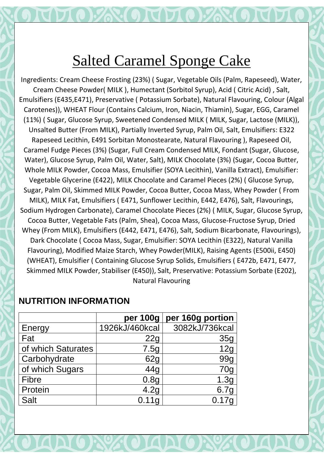# Salted Caramel Sponge Cake

Ingredients: Cream Cheese Frosting (23%) ( Sugar, Vegetable Oils (Palm, Rapeseed), Water, Cream Cheese Powder( MILK ), Humectant (Sorbitol Syrup), Acid ( Citric Acid) , Salt, Emulsifiers (E435,E471), Preservative ( Potassium Sorbate), Natural Flavouring, Colour (Algal Carotenes)), WHEAT Flour (Contains Calcium, Iron, Niacin, Thiamin), Sugar, EGG, Caramel (11%) ( Sugar, Glucose Syrup, Sweetened Condensed MILK ( MILK, Sugar, Lactose (MILK)), Unsalted Butter (From MILK), Partially Inverted Syrup, Palm Oil, Salt, Emulsifiers: E322 Rapeseed Lecithin, E491 Sorbitan Monostearate, Natural Flavouring ), Rapeseed Oil, Caramel Fudge Pieces (3%) (Sugar, Full Cream Condensed MILK, Fondant (Sugar, Glucose, Water), Glucose Syrup, Palm Oil, Water, Salt), MILK Chocolate (3%) (Sugar, Cocoa Butter, Whole MILK Powder, Cocoa Mass, Emulsifier (SOYA Lecithin), Vanilla Extract), Emulsifier: Vegetable Glycerine (E422), MILK Chocolate and Caramel Pieces (2%) ( Glucose Syrup, Sugar, Palm Oil, Skimmed MILK Powder, Cocoa Butter, Cocoa Mass, Whey Powder ( From MILK), MILK Fat, Emulsifiers ( E471, Sunflower Lecithin, E442, E476), Salt, Flavourings, Sodium Hydrogen Carbonate), Caramel Chocolate Pieces (2%) ( MILK, Sugar, Glucose Syrup, Cocoa Butter, Vegetable Fats (Palm, Shea), Cocoa Mass, Glucose-Fructose Syrup, Dried Whey (From MILK), Emulsifiers (E442, E471, E476), Salt, Sodium Bicarbonate, Flavourings), Dark Chocolate ( Cocoa Mass, Sugar, Emulsifier: SOYA Lecithin (E322), Natural Vanilla Flavouring), Modified Maize Starch, Whey Powder(MILK), Raising Agents (E500ii, E450) (WHEAT), Emulsifier ( Containing Glucose Syrup Solids, Emulsifiers ( E472b, E471, E477, Skimmed MILK Powder, Stabiliser (E450)), Salt, Preservative: Potassium Sorbate (E202), Natural Flavouring

| per 100g       | per 160g portion |
|----------------|------------------|
| 1926kJ/460kcal | 3082kJ/736kcal   |
| 22g            | 35g              |
| 7.5g           | 12g              |
| 62g            | 99g              |
| 44g            | 70 <sub>g</sub>  |
| 0.8g           | 1.3g             |
| 4.2g           | 6.7g             |
| 0.11q          | 0.17g            |
|                |                  |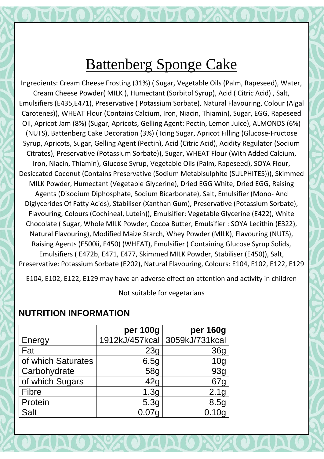Ingredients: Cream Cheese Frosting (31%) ( Sugar, Vegetable Oils (Palm, Rapeseed), Water, Cream Cheese Powder( MILK ), Humectant (Sorbitol Syrup), Acid ( Citric Acid) , Salt, Emulsifiers (E435,E471), Preservative ( Potassium Sorbate), Natural Flavouring, Colour (Algal Carotenes)), WHEAT Flour (Contains Calcium, Iron, Niacin, Thiamin), Sugar, EGG, Rapeseed Oil, Apricot Jam (8%) (Sugar, Apricots, Gelling Agent: Pectin, Lemon Juice), ALMONDS (6%) (NUTS), Battenberg Cake Decoration (3%) ( Icing Sugar, Apricot Filling (Glucose-Fructose Syrup, Apricots, Sugar, Gelling Agent (Pectin), Acid (Citric Acid), Acidity Regulator (Sodium Citrates), Preservative (Potassium Sorbate)), Sugar, WHEAT Flour (With Added Calcium, Iron, Niacin, Thiamin), Glucose Syrup, Vegetable Oils (Palm, Rapeseed), SOYA Flour, Desiccated Coconut (Contains Preservative (Sodium Metabisulphite (SULPHITES))), Skimmed MILK Powder, Humectant (Vegetable Glycerine), Dried EGG White, Dried EGG, Raising Agents (Disodium Diphosphate, Sodium Bicarbonate), Salt, Emulsifier (Mono- And Diglycerides Of Fatty Acids), Stabiliser (Xanthan Gum), Preservative (Potassium Sorbate), Flavouring, Colours (Cochineal, Lutein)), Emulsifier: Vegetable Glycerine (E422), White Chocolate ( Sugar, Whole MILK Powder, Cocoa Butter, Emulsifier : SOYA Lecithin (E322), Natural Flavouring), Modified Maize Starch, Whey Powder (MILK), Flavouring (NUTS), Raising Agents (E500ii, E450) (WHEAT), Emulsifier ( Containing Glucose Syrup Solids, Emulsifiers ( E472b, E471, E477, Skimmed MILK Powder, Stabiliser (E450)), Salt, Preservative: Potassium Sorbate (E202), Natural Flavouring, Colours: E104, E102, E122, E129

E104, E102, E122, E129 may have an adverse effect on attention and activity in children

Not suitable for vegetarians

|                    | per 100g          | per 160g                      |
|--------------------|-------------------|-------------------------------|
| Energy             |                   | 1912kJ/457kcal 3059kJ/731kcal |
| Fat                | 23g               | 36g                           |
| of which Saturates | 6.5g              | 10 <sub>q</sub>               |
| Carbohydrate       | 58g               | 93g                           |
| of which Sugars    | 42g               | 67g                           |
| <b>Fibre</b>       | 1.3g              | 2.1 <sub>g</sub>              |
| Protein            | 5.3g              | 8.5g                          |
| <b>Salt</b>        | 0.07 <sub>q</sub> | 0.10 <sub>g</sub>             |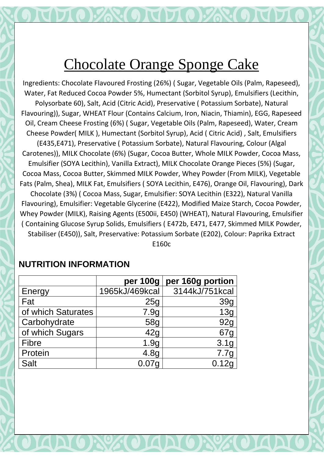# Chocolate Orange Sponge Cake

Ingredients: Chocolate Flavoured Frosting (26%) ( Sugar, Vegetable Oils (Palm, Rapeseed), Water, Fat Reduced Cocoa Powder 5%, Humectant (Sorbitol Syrup), Emulsifiers (Lecithin, Polysorbate 60), Salt, Acid (Citric Acid), Preservative ( Potassium Sorbate), Natural Flavouring)), Sugar, WHEAT Flour (Contains Calcium, Iron, Niacin, Thiamin), EGG, Rapeseed Oil, Cream Cheese Frosting (6%) ( Sugar, Vegetable Oils (Palm, Rapeseed), Water, Cream Cheese Powder( MILK ), Humectant (Sorbitol Syrup), Acid ( Citric Acid) , Salt, Emulsifiers (E435,E471), Preservative ( Potassium Sorbate), Natural Flavouring, Colour (Algal Carotenes)), MILK Chocolate (6%) (Sugar, Cocoa Butter, Whole MILK Powder, Cocoa Mass, Emulsifier (SOYA Lecithin), Vanilla Extract), MILK Chocolate Orange Pieces (5%) (Sugar, Cocoa Mass, Cocoa Butter, Skimmed MILK Powder, Whey Powder (From MILK), Vegetable Fats (Palm, Shea), MILK Fat, Emulsifiers ( SOYA Lecithin, E476), Orange Oil, Flavouring), Dark Chocolate (3%) ( Cocoa Mass, Sugar, Emulsifier: SOYA Lecithin (E322), Natural Vanilla Flavouring), Emulsifier: Vegetable Glycerine (E422), Modified Maize Starch, Cocoa Powder, Whey Powder (MILK), Raising Agents (E500ii, E450) (WHEAT), Natural Flavouring, Emulsifier ( Containing Glucose Syrup Solids, Emulsifiers ( E472b, E471, E477, Skimmed MILK Powder, Stabiliser (E450)), Salt, Preservative: Potassium Sorbate (E202), Colour: Paprika Extract

E160c

|                    | per 100g         | per 160g portion |
|--------------------|------------------|------------------|
| Energy             | 1965kJ/469kcal   | 3144kJ/751kcal   |
| Fat                | 25g              | 39g              |
| of which Saturates | 7.9g             | 13g              |
| Carbohydrate       | 58g              | 92g              |
| of which Sugars    | 42g              | 67 <sub>g</sub>  |
| <b>Fibre</b>       | 1.9g             | 3.1g             |
| Protein            | 4.8 <sub>g</sub> | 7.7g             |
| <b>Salt</b>        | 0.07q            | 0.12g            |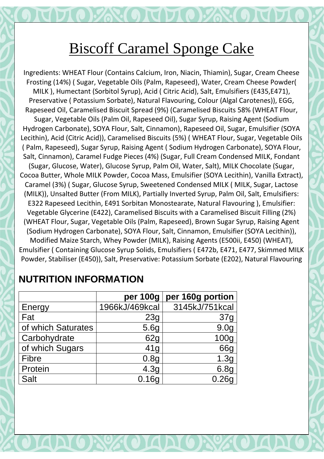# Biscoff Caramel Sponge Cake

Ingredients: WHEAT Flour (Contains Calcium, Iron, Niacin, Thiamin), Sugar, Cream Cheese Frosting (14%) ( Sugar, Vegetable Oils (Palm, Rapeseed), Water, Cream Cheese Powder( MILK ), Humectant (Sorbitol Syrup), Acid ( Citric Acid), Salt, Emulsifiers (E435,E471), Preservative ( Potassium Sorbate), Natural Flavouring, Colour (Algal Carotenes)), EGG, Rapeseed Oil, Caramelised Biscuit Spread (9%) (Caramelised Biscuits 58% (WHEAT Flour, Sugar, Vegetable Oils (Palm Oil, Rapeseed Oil), Sugar Syrup, Raising Agent (Sodium Hydrogen Carbonate), SOYA Flour, Salt, Cinnamon), Rapeseed Oil, Sugar, Emulsifier (SOYA Lecithin), Acid (Citric Acid)), Caramelised Biscuits (5%) ( WHEAT Flour, Sugar, Vegetable Oils ( Palm, Rapeseed), Sugar Syrup, Raising Agent ( Sodium Hydrogen Carbonate), SOYA Flour, Salt, Cinnamon), Caramel Fudge Pieces (4%) (Sugar, Full Cream Condensed MILK, Fondant (Sugar, Glucose, Water), Glucose Syrup, Palm Oil, Water, Salt), MILK Chocolate (Sugar, Cocoa Butter, Whole MILK Powder, Cocoa Mass, Emulsifier (SOYA Lecithin), Vanilla Extract), Caramel (3%) ( Sugar, Glucose Syrup, Sweetened Condensed MILK ( MILK, Sugar, Lactose (MILK)), Unsalted Butter (From MILK), Partially Inverted Syrup, Palm Oil, Salt, Emulsifiers: E322 Rapeseed Lecithin, E491 Sorbitan Monostearate, Natural Flavouring ), Emulsifier: Vegetable Glycerine (E422), Caramelised Biscuits with a Caramelised Biscuit Filling (2%) (WHEAT Flour, Sugar, Vegetable Oils (Palm, Rapeseed), Brown Sugar Syrup, Raising Agent (Sodium Hydrogen Carbonate), SOYA Flour, Salt, Cinnamon, Emulsifier (SOYA Lecithin)), Modified Maize Starch, Whey Powder (MILK), Raising Agents (E500ii, E450) (WHEAT), Emulsifier ( Containing Glucose Syrup Solids, Emulsifiers ( E472b, E471, E477, Skimmed MILK Powder, Stabiliser (E450)), Salt, Preservative: Potassium Sorbate (E202), Natural Flavouring

### **per 100g per 160g portion** Energy 1966kJ/469kcal 3145kJ/751kcal Fat | 23g | 37g of which Saturates  $\vert$  5.6g  $\vert$  9.0g Carbohydrate | 62g 100g of which Sugars and 41g and 66g Fibre 1.3g Protein 1 4.3g 6.8g Salt | 0.16g | 0.26g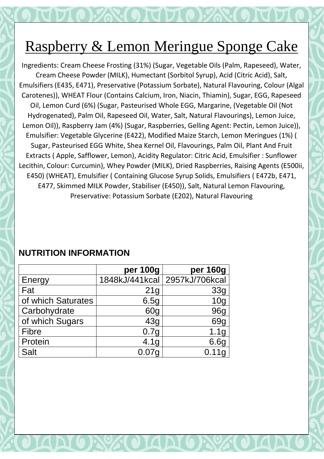# Raspberry & Lemon Meringue Sponge Cake

Ingredients: Cream Cheese Frosting (31%) (Sugar, Vegetable Oils (Palm, Rapeseed), Water, Cream Cheese Powder (MILK), Humectant (Sorbitol Syrup), Acid (Citric Acid), Salt, Emulsifiers (E435, E471), Preservative (Potassium Sorbate), Natural Flavouring, Colour (Algal Carotenes)), WHEAT Flour (Contains Calcium, Iron, Niacin, Thiamin), Sugar, EGG, Rapeseed Oil, Lemon Curd (6%) (Sugar, Pasteurised Whole EGG, Margarine, (Vegetable Oil (Not Hydrogenated), Palm Oil, Rapeseed Oil, Water, Salt, Natural Flavourings), Lemon Juice, Lemon Oil)), Raspberry Jam (4%) (Sugar, Raspberries, Gelling Agent: Pectin, Lemon Juice)), Emulsifier: Vegetable Glycerine (E422), Modified Maize Starch, Lemon Meringues (1%) ( Sugar, Pasteurised EGG White, Shea Kernel Oil, Flavourings, Palm Oil, Plant And Fruit Extracts ( Apple, Safflower, Lemon), Acidity Regulator: Citric Acid, Emulsifier : Sunflower Lecithin, Colour: Curcumin), Whey Powder (MILK), Dried Raspberries, Raising Agents (E500ii, E450) (WHEAT), Emulsifier ( Containing Glucose Syrup Solids, Emulsifiers ( E472b, E471, E477, Skimmed MILK Powder, Stabiliser (E450)), Salt, Natural Lemon Flavouring, Preservative: Potassium Sorbate (E202), Natural Flavouring

### **per 100g per 160g** Energy 1848kJ/441kcal 2957kJ/706kcal Fat | 21g | 33g of which Saturates and in the 6.5g in the 10g Carbohydrate | 60g 96g of which Sugars and the 43g control of which Sugars and 43g control 69g Fibre 0.7g 1.1g Protein 1 4.1g 6.6g Salt | 0.07g | 0.11g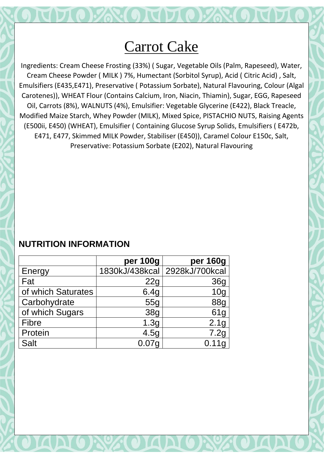## Carrot Cake

Ingredients: Cream Cheese Frosting (33%) ( Sugar, Vegetable Oils (Palm, Rapeseed), Water, Cream Cheese Powder ( MILK ) 7%, Humectant (Sorbitol Syrup), Acid ( Citric Acid) , Salt, Emulsifiers (E435,E471), Preservative ( Potassium Sorbate), Natural Flavouring, Colour (Algal Carotenes)), WHEAT Flour (Contains Calcium, Iron, Niacin, Thiamin), Sugar, EGG, Rapeseed Oil, Carrots (8%), WALNUTS (4%), Emulsifier: Vegetable Glycerine (E422), Black Treacle, Modified Maize Starch, Whey Powder (MILK), Mixed Spice, PISTACHIO NUTS, Raising Agents (E500ii, E450) (WHEAT), Emulsifier ( Containing Glucose Syrup Solids, Emulsifiers ( E472b, E471, E477, Skimmed MILK Powder, Stabiliser (E450)), Caramel Colour E150c, Salt, Preservative: Potassium Sorbate (E202), Natural Flavouring

|                    | per 100g          | per 160g                      |
|--------------------|-------------------|-------------------------------|
| Energy             |                   | 1830kJ/438kcal 2928kJ/700kcal |
| Fat                | 22g               | 36g                           |
| of which Saturates | 6.4g              | 10 <sub>q</sub>               |
| Carbohydrate       | 55g               | <b>88g</b>                    |
| of which Sugars    | <b>38g</b>        | 61g                           |
| <b>Fibre</b>       | 1.3g              | 2.1g                          |
| Protein            | 4.5g              | 7.2g                          |
| <b>Salt</b>        | 0.07 <sub>q</sub> | 0.11g                         |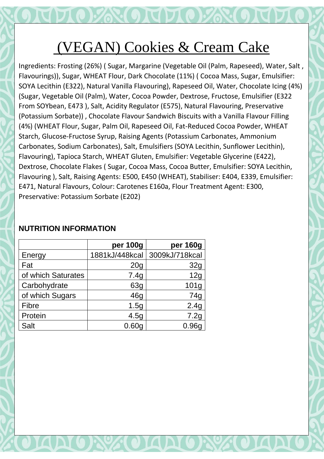# (VEGAN) Cookies & Cream Cake

Ingredients: Frosting (26%) ( Sugar, Margarine (Vegetable Oil (Palm, Rapeseed), Water, Salt , Flavourings)), Sugar, WHEAT Flour, Dark Chocolate (11%) ( Cocoa Mass, Sugar, Emulsifier: SOYA Lecithin (E322), Natural Vanilla Flavouring), Rapeseed Oil, Water, Chocolate Icing (4%) (Sugar, Vegetable Oil (Palm), Water, Cocoa Powder, Dextrose, Fructose, Emulsifier (E322 From SOYbean, E473 ), Salt, Acidity Regulator (E575), Natural Flavouring, Preservative (Potassium Sorbate)) , Chocolate Flavour Sandwich Biscuits with a Vanilla Flavour Filling (4%) (WHEAT Flour, Sugar, Palm Oil, Rapeseed Oil, Fat-Reduced Cocoa Powder, WHEAT Starch, Glucose-Fructose Syrup, Raising Agents (Potassium Carbonates, Ammonium Carbonates, Sodium Carbonates), Salt, Emulsifiers (SOYA Lecithin, Sunflower Lecithin), Flavouring), Tapioca Starch, WHEAT Gluten, Emulsifier: Vegetable Glycerine (E422), Dextrose, Chocolate Flakes ( Sugar, Cocoa Mass, Cocoa Butter, Emulsifier: SOYA Lecithin, Flavouring ), Salt, Raising Agents: E500, E450 (WHEAT), Stabiliser: E404, E339, Emulsifier: E471, Natural Flavours, Colour: Carotenes E160a, Flour Treatment Agent: E300, Preservative: Potassium Sorbate (E202)

|                    | per 100g        | per 160g         |
|--------------------|-----------------|------------------|
| Energy             | 1881kJ/448kcal  | 3009kJ/718kcal   |
| Fat                | 20 <sub>q</sub> | 32g              |
| of which Saturates | 7.4g            | 12g              |
| Carbohydrate       | 63g             | 101 <sub>g</sub> |
| of which Sugars    | 46g             | 74g              |
| Fibre              | 1.5g            | 2.4g             |
| Protein            | 4.5g            | 7.2g             |
| Salt               | 0.60a           |                  |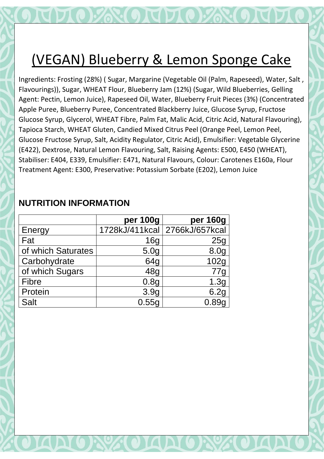# (VEGAN) Blueberry & Lemon Sponge Cake

Ingredients: Frosting (28%) ( Sugar, Margarine (Vegetable Oil (Palm, Rapeseed), Water, Salt , Flavourings)), Sugar, WHEAT Flour, Blueberry Jam (12%) (Sugar, Wild Blueberries, Gelling Agent: Pectin, Lemon Juice), Rapeseed Oil, Water, Blueberry Fruit Pieces (3%) (Concentrated Apple Puree, Blueberry Puree, Concentrated Blackberry Juice, Glucose Syrup, Fructose Glucose Syrup, Glycerol, WHEAT Fibre, Palm Fat, Malic Acid, Citric Acid, Natural Flavouring), Tapioca Starch, WHEAT Gluten, Candied Mixed Citrus Peel (Orange Peel, Lemon Peel, Glucose Fructose Syrup, Salt, Acidity Regulator, Citric Acid), Emulsifier: Vegetable Glycerine (E422), Dextrose, Natural Lemon Flavouring, Salt, Raising Agents: E500, E450 (WHEAT), Stabiliser: E404, E339, Emulsifier: E471, Natural Flavours, Colour: Carotenes E160a, Flour Treatment Agent: E300, Preservative: Potassium Sorbate (E202), Lemon Juice

#### **per 100g per 160g** Energy 1728kJ/411kcal 2766kJ/657kcal Fat | 16g | 25g of which Saturates and the state state state state state state state state state state state state state state Carbohydrate | 64g | 102g of which Sugars | 48g | 77g Fibre 0.8g 1.3g Protein 1 3.9g 6.2g Salt 0.55g 0.89g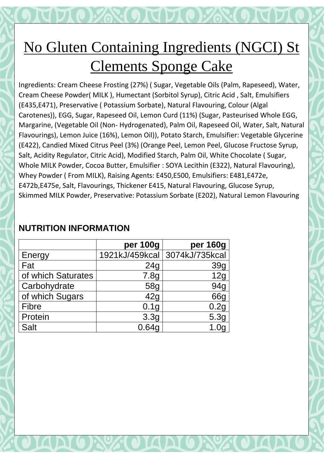# No Gluten Containing Ingredients (NGCI) St Clements Sponge Cake

Ingredients: Cream Cheese Frosting (27%) ( Sugar, Vegetable Oils (Palm, Rapeseed), Water, Cream Cheese Powder( MILK ), Humectant (Sorbitol Syrup), Citric Acid , Salt, Emulsifiers (E435,E471), Preservative ( Potassium Sorbate), Natural Flavouring, Colour (Algal Carotenes)), EGG, Sugar, Rapeseed Oil, Lemon Curd (11%) (Sugar, Pasteurised Whole EGG, Margarine, (Vegetable Oil (Non- Hydrogenated), Palm Oil, Rapeseed Oil, Water, Salt, Natural Flavourings), Lemon Juice (16%), Lemon Oil)), Potato Starch, Emulsifier: Vegetable Glycerine (E422), Candied Mixed Citrus Peel (3%) (Orange Peel, Lemon Peel, Glucose Fructose Syrup, Salt, Acidity Regulator, Citric Acid), Modified Starch, Palm Oil, White Chocolate ( Sugar, Whole MILK Powder, Cocoa Butter, Emulsifier : SOYA Lecithin (E322), Natural Flavouring), Whey Powder ( From MILK), Raising Agents: E450,E500, Emulsifiers: E481,E472e, E472b,E475e, Salt, Flavourings, Thickener E415, Natural Flavouring, Glucose Syrup, Skimmed MILK Powder, Preservative: Potassium Sorbate (E202), Natural Lemon Flavouring

|                    | per 100g         | per 160g                      |
|--------------------|------------------|-------------------------------|
| Energy             |                  | 1921kJ/459kcal 3074kJ/735kcal |
| Fat                | 24g              | 39g                           |
| of which Saturates | 7.8g             | 12g                           |
| Carbohydrate       | 58g              | 94g                           |
| of which Sugars    | 42g              | 66g                           |
| <b>Fibre</b>       | 0.1 <sub>g</sub> | 0.2g                          |
| Protein            | 3.3g             | 5.3g                          |
| <b>Salt</b>        | 0.64g            |                               |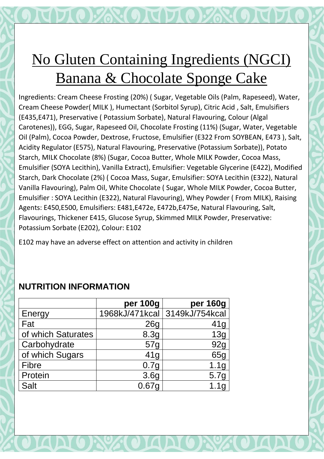# No Gluten Containing Ingredients (NGCI) Banana & Chocolate Sponge Cake

Ingredients: Cream Cheese Frosting (20%) ( Sugar, Vegetable Oils (Palm, Rapeseed), Water, Cream Cheese Powder( MILK ), Humectant (Sorbitol Syrup), Citric Acid , Salt, Emulsifiers (E435,E471), Preservative ( Potassium Sorbate), Natural Flavouring, Colour (Algal Carotenes)), EGG, Sugar, Rapeseed Oil, Chocolate Frosting (11%) (Sugar, Water, Vegetable Oil (Palm), Cocoa Powder, Dextrose, Fructose, Emulsifier (E322 From SOYBEAN, E473 ), Salt, Acidity Regulator (E575), Natural Flavouring, Preservative (Potassium Sorbate)), Potato Starch, MILK Chocolate (8%) (Sugar, Cocoa Butter, Whole MILK Powder, Cocoa Mass, Emulsifier (SOYA Lecithin), Vanilla Extract), Emulsifier: Vegetable Glycerine (E422), Modified Starch, Dark Chocolate (2%) ( Cocoa Mass, Sugar, Emulsifier: SOYA Lecithin (E322), Natural Vanilla Flavouring), Palm Oil, White Chocolate ( Sugar, Whole MILK Powder, Cocoa Butter, Emulsifier : SOYA Lecithin (E322), Natural Flavouring), Whey Powder ( From MILK), Raising Agents: E450,E500, Emulsifiers: E481,E472e, E472b,E475e, Natural Flavouring, Salt, Flavourings, Thickener E415, Glucose Syrup, Skimmed MILK Powder, Preservative: Potassium Sorbate (E202), Colour: E102

E102 may have an adverse effect on attention and activity in children

|                    | per 100g          | per 160g                      |
|--------------------|-------------------|-------------------------------|
| Energy             |                   | 1968kJ/471kcal 3149kJ/754kcal |
| Fat                | 26g               | 41g                           |
| of which Saturates | 8.3g              | 13g                           |
| Carbohydrate       | 57g               | 92g                           |
| of which Sugars    | 41g               | 65g                           |
| <b>Fibre</b>       | 0.7g              | 1.1 <sub>g</sub>              |
| Protein            | 3.6 <sub>g</sub>  | 5.7g                          |
| <b>Salt</b>        | 0.67 <sub>q</sub> | 1.1 <sub>q</sub>              |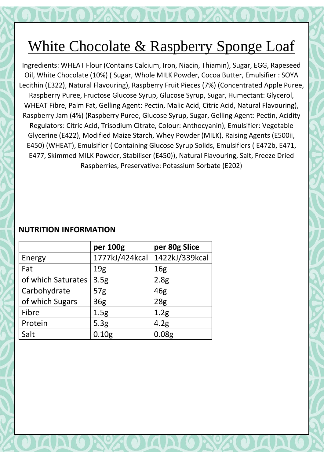# White Chocolate & Raspberry Sponge Loaf

Ingredients: WHEAT Flour (Contains Calcium, Iron, Niacin, Thiamin), Sugar, EGG, Rapeseed Oil, White Chocolate (10%) ( Sugar, Whole MILK Powder, Cocoa Butter, Emulsifier : SOYA Lecithin (E322), Natural Flavouring), Raspberry Fruit Pieces (7%) (Concentrated Apple Puree, Raspberry Puree, Fructose Glucose Syrup, Glucose Syrup, Sugar, Humectant: Glycerol, WHEAT Fibre, Palm Fat, Gelling Agent: Pectin, Malic Acid, Citric Acid, Natural Flavouring), Raspberry Jam (4%) (Raspberry Puree, Glucose Syrup, Sugar, Gelling Agent: Pectin, Acidity Regulators: Citric Acid, Trisodium Citrate, Colour: Anthocyanin), Emulsifier: Vegetable Glycerine (E422), Modified Maize Starch, Whey Powder (MILK), Raising Agents (E500ii, E450) (WHEAT), Emulsifier ( Containing Glucose Syrup Solids, Emulsifiers ( E472b, E471, E477, Skimmed MILK Powder, Stabiliser (E450)), Natural Flavouring, Salt, Freeze Dried Raspberries, Preservative: Potassium Sorbate (E202)

|                    | per 100g          | per 80g Slice     |
|--------------------|-------------------|-------------------|
| Energy             | 1777kJ/424kcal    | 1422kJ/339kcal    |
| Fat                | 19 <sub>g</sub>   | 16 <sub>g</sub>   |
| of which Saturates | 3.5g              | 2.8 <sub>g</sub>  |
| Carbohydrate       | 57 <sub>g</sub>   | 46g               |
| of which Sugars    | 36 <sub>g</sub>   | 28 <sub>g</sub>   |
| Fibre              | 1.5g              | 1.2 <sub>g</sub>  |
| Protein            | 5.3g              | 4.2 <sub>g</sub>  |
| Salt               | 0.10 <sub>g</sub> | 0.08 <sub>g</sub> |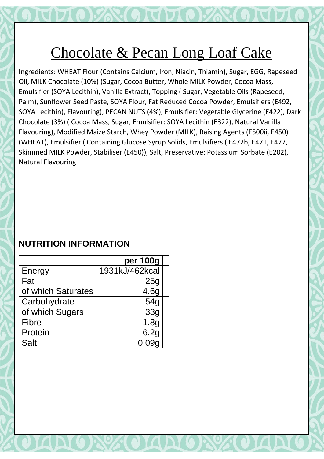## Chocolate & Pecan Long Loaf Cake

Ingredients: WHEAT Flour (Contains Calcium, Iron, Niacin, Thiamin), Sugar, EGG, Rapeseed Oil, MILK Chocolate (10%) (Sugar, Cocoa Butter, Whole MILK Powder, Cocoa Mass, Emulsifier (SOYA Lecithin), Vanilla Extract), Topping ( Sugar, Vegetable Oils (Rapeseed, Palm), Sunflower Seed Paste, SOYA Flour, Fat Reduced Cocoa Powder, Emulsifiers (E492, SOYA Lecithin), Flavouring), PECAN NUTS (4%), Emulsifier: Vegetable Glycerine (E422), Dark Chocolate (3%) ( Cocoa Mass, Sugar, Emulsifier: SOYA Lecithin (E322), Natural Vanilla Flavouring), Modified Maize Starch, Whey Powder (MILK), Raising Agents (E500ii, E450) (WHEAT), Emulsifier ( Containing Glucose Syrup Solids, Emulsifiers ( E472b, E471, E477, Skimmed MILK Powder, Stabiliser (E450)), Salt, Preservative: Potassium Sorbate (E202), Natural Flavouring

|                    | per 100g        |
|--------------------|-----------------|
| Energy             | 1931kJ/462kcal  |
| Fat                | 25g             |
| of which Saturates | 4.6g            |
| Carbohydrate       | 54 <sub>q</sub> |
| of which Sugars    | 33 <sub>q</sub> |
| Fibre              | 1.8g            |
| Protein            | 6.2g            |
| <b>Salt</b>        | 0.09a           |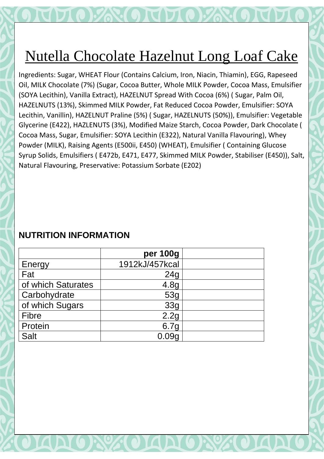# Nutella Chocolate Hazelnut Long Loaf Cake

Ingredients: Sugar, WHEAT Flour (Contains Calcium, Iron, Niacin, Thiamin), EGG, Rapeseed Oil, MILK Chocolate (7%) (Sugar, Cocoa Butter, Whole MILK Powder, Cocoa Mass, Emulsifier (SOYA Lecithin), Vanilla Extract), HAZELNUT Spread With Cocoa (6%) ( Sugar, Palm Oil, HAZELNUTS (13%), Skimmed MILK Powder, Fat Reduced Cocoa Powder, Emulsifier: SOYA Lecithin, Vanillin), HAZELNUT Praline (5%) ( Sugar, HAZELNUTS (50%)), Emulsifier: Vegetable Glycerine (E422), HAZLENUTS (3%), Modified Maize Starch, Cocoa Powder, Dark Chocolate ( Cocoa Mass, Sugar, Emulsifier: SOYA Lecithin (E322), Natural Vanilla Flavouring), Whey Powder (MILK), Raising Agents (E500ii, E450) (WHEAT), Emulsifier ( Containing Glucose Syrup Solids, Emulsifiers ( E472b, E471, E477, Skimmed MILK Powder, Stabiliser (E450)), Salt, Natural Flavouring, Preservative: Potassium Sorbate (E202)

|                    | per 100g         |  |
|--------------------|------------------|--|
| Energy             | 1912kJ/457kcal   |  |
| Fat                | 24g              |  |
| of which Saturates | 4.8 <sub>g</sub> |  |
| Carbohydrate       | 53g              |  |
| of which Sugars    | 33g              |  |
| <b>Fibre</b>       | 2.2g             |  |
| Protein            | 6.7 <sub>g</sub> |  |
| <b>Salt</b>        |                  |  |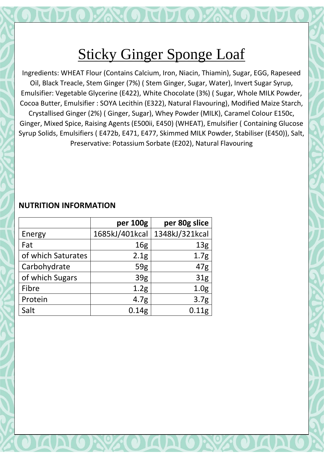Ingredients: WHEAT Flour (Contains Calcium, Iron, Niacin, Thiamin), Sugar, EGG, Rapeseed Oil, Black Treacle, Stem Ginger (7%) ( Stem Ginger, Sugar, Water), Invert Sugar Syrup, Emulsifier: Vegetable Glycerine (E422), White Chocolate (3%) ( Sugar, Whole MILK Powder, Cocoa Butter, Emulsifier : SOYA Lecithin (E322), Natural Flavouring), Modified Maize Starch, Crystallised Ginger (2%) ( Ginger, Sugar), Whey Powder (MILK), Caramel Colour E150c, Ginger, Mixed Spice, Raising Agents (E500ii, E450) (WHEAT), Emulsifier ( Containing Glucose Syrup Solids, Emulsifiers ( E472b, E471, E477, Skimmed MILK Powder, Stabiliser (E450)), Salt, Preservative: Potassium Sorbate (E202), Natural Flavouring

|                    | per 100g         | per 80g slice    |
|--------------------|------------------|------------------|
| Energy             | 1685kJ/401kcal   | 1348kJ/321kcal   |
| Fat                | 16 <sub>g</sub>  | 13 <sub>g</sub>  |
| of which Saturates | 2.1 <sub>g</sub> | 1.7 <sub>g</sub> |
| Carbohydrate       | 59g              | 47g              |
| of which Sugars    | 39 <sub>g</sub>  | 31 <sub>g</sub>  |
| Fibre              | 1.2 <sub>g</sub> | 1.0 <sub>g</sub> |
| Protein            | 4.7 <sub>g</sub> | 3.7 <sub>g</sub> |
| Salt               | 0.14g            | 0.11g            |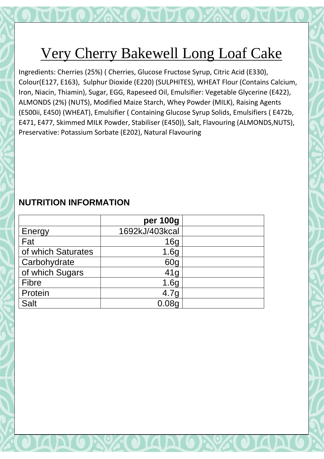# Very Cherry Bakewell Long Loaf Cake

Ingredients: Cherries (25%) ( Cherries, Glucose Fructose Syrup, Citric Acid (E330), Colour(E127, E163), Sulphur Dioxide (E220) (SULPHITES), WHEAT Flour (Contains Calcium, Iron, Niacin, Thiamin), Sugar, EGG, Rapeseed Oil, Emulsifier: Vegetable Glycerine (E422), ALMONDS (2%) (NUTS), Modified Maize Starch, Whey Powder (MILK), Raising Agents (E500ii, E450) (WHEAT), Emulsifier ( Containing Glucose Syrup Solids, Emulsifiers ( E472b, E471, E477, Skimmed MILK Powder, Stabiliser (E450)), Salt, Flavouring (ALMONDS,NUTS), Preservative: Potassium Sorbate (E202), Natural Flavouring

|                    | per 100g         |  |
|--------------------|------------------|--|
| Energy             | 1692kJ/403kcal   |  |
| Fat                | 16 <sub>q</sub>  |  |
| of which Saturates | 1.6g             |  |
| Carbohydrate       | 60 <sub>q</sub>  |  |
| of which Sugars    | 41g              |  |
| <b>Fibre</b>       | 1.6 <sub>g</sub> |  |
| Protein            | 4.7 <sub>q</sub> |  |
| <b>Salt</b>        | 0.08q            |  |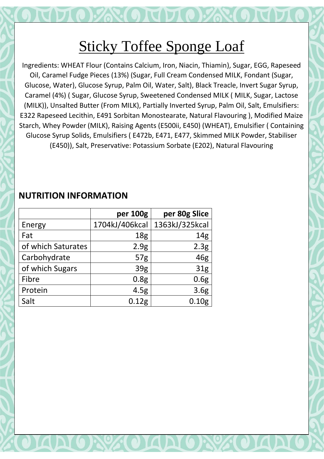Ingredients: WHEAT Flour (Contains Calcium, Iron, Niacin, Thiamin), Sugar, EGG, Rapeseed Oil, Caramel Fudge Pieces (13%) (Sugar, Full Cream Condensed MILK, Fondant (Sugar, Glucose, Water), Glucose Syrup, Palm Oil, Water, Salt), Black Treacle, Invert Sugar Syrup, Caramel (4%) ( Sugar, Glucose Syrup, Sweetened Condensed MILK ( MILK, Sugar, Lactose (MILK)), Unsalted Butter (From MILK), Partially Inverted Syrup, Palm Oil, Salt, Emulsifiers: E322 Rapeseed Lecithin, E491 Sorbitan Monostearate, Natural Flavouring ), Modified Maize Starch, Whey Powder (MILK), Raising Agents (E500ii, E450) (WHEAT), Emulsifier ( Containing Glucose Syrup Solids, Emulsifiers ( E472b, E471, E477, Skimmed MILK Powder, Stabiliser (E450)), Salt, Preservative: Potassium Sorbate (E202), Natural Flavouring

|                    | per 100g          | per 80g Slice     |
|--------------------|-------------------|-------------------|
| Energy             | 1704kJ/406kcal    | 1363kJ/325kcal    |
| Fat                | 18 <sub>g</sub>   | 14 <sub>g</sub>   |
| of which Saturates | 2.9g              | 2.3 <sub>g</sub>  |
| Carbohydrate       | 57 <sub>g</sub>   | 46g               |
| of which Sugars    | 39 <sub>g</sub>   | 31 <sub>g</sub>   |
| Fibre              | 0.8 <sub>g</sub>  | 0.6g              |
| Protein            | 4.5g              | 3.6 <sub>g</sub>  |
| Salt               | 0.12 <sub>g</sub> | 0.10 <sub>g</sub> |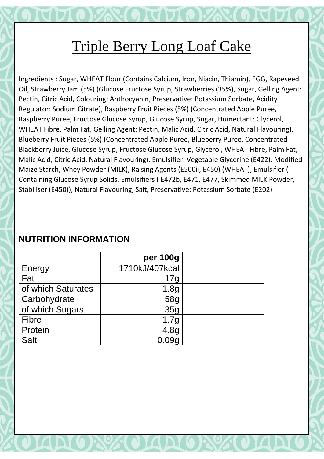# Triple Berry Long Loaf Cake

Ingredients : Sugar, WHEAT Flour (Contains Calcium, Iron, Niacin, Thiamin), EGG, Rapeseed Oil, Strawberry Jam (5%) (Glucose Fructose Syrup, Strawberries (35%), Sugar, Gelling Agent: Pectin, Citric Acid, Colouring: Anthocyanin, Preservative: Potassium Sorbate, Acidity Regulator: Sodium Citrate), Raspberry Fruit Pieces (5%) (Concentrated Apple Puree, Raspberry Puree, Fructose Glucose Syrup, Glucose Syrup, Sugar, Humectant: Glycerol, WHEAT Fibre, Palm Fat, Gelling Agent: Pectin, Malic Acid, Citric Acid, Natural Flavouring), Blueberry Fruit Pieces (5%) (Concentrated Apple Puree, Blueberry Puree, Concentrated Blackberry Juice, Glucose Syrup, Fructose Glucose Syrup, Glycerol, WHEAT Fibre, Palm Fat, Malic Acid, Citric Acid, Natural Flavouring), Emulsifier: Vegetable Glycerine (E422), Modified Maize Starch, Whey Powder (MILK), Raising Agents (E500ii, E450) (WHEAT), Emulsifier ( Containing Glucose Syrup Solids, Emulsifiers ( E472b, E471, E477, Skimmed MILK Powder, Stabiliser (E450)), Natural Flavouring, Salt, Preservative: Potassium Sorbate (E202)

|                    | per 100g         |  |
|--------------------|------------------|--|
| Energy             | 1710kJ/407kcal   |  |
| Fat                | 17g              |  |
| of which Saturates | 1.8 <sub>g</sub> |  |
| Carbohydrate       | 58g              |  |
| of which Sugars    | 35 <sub>q</sub>  |  |
| <b>Fibre</b>       | 1.7g             |  |
| Protein            | 4.8 <sub>g</sub> |  |
| <b>Salt</b>        |                  |  |